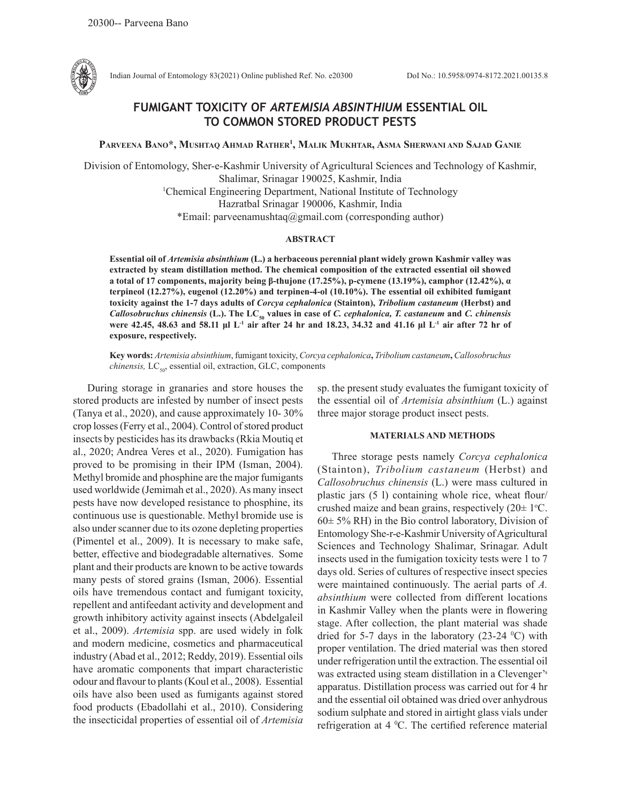

Indian Journal of Entomology 83(2021) Online published Ref. No. e20300 DoI No.: 10.5958/0974-8172.2021.00135.8

# **FUMIGANT TOXICITY OF** *ARTEMISIA ABSINTHIUM* **ESSENTIAL OIL TO COMMON STORED PRODUCT PESTS**

**Parveena Bano\*, Mushtaq Ahmad Rather1 , Malik Mukhtar, Asma Sherwani and Sajad Ganie**

Division of Entomology, Sher-e-Kashmir University of Agricultural Sciences and Technology of Kashmir, Shalimar, Srinagar 190025, Kashmir, India 1 Chemical Engineering Department, National Institute of Technology Hazratbal Srinagar 190006, Kashmir, India \*Email: parveenamushtaq@gmail.com (corresponding author)

# **ABSTRACT**

**Essential oil of** *Artemisia absinthium* **(L.) a herbaceous perennial plant widely grown Kashmir valley was extracted by steam distillation method. The chemical composition of the extracted essential oil showed a total of 17 components, majority being β-thujone (17.25%), p-cymene (13.19%), camphor (12.42%), α terpineol (12.27%), eugenol (12.20%) and terpinen-4-ol (10.10%). The essential oil exhibited fumigant toxicity against the 1-7 days adults of** *Corcya cephalonica* **(Stainton),** *Tribolium castaneum* **(Herbst) and**  *Callosobruchus chinensis* **(L.). The LC50 values in case of** *C. cephalonica, T. castaneum* **and** *C. chinensis* **were 42.45, 48.63 and 58.11 μl L-1 air after 24 hr and 18.23, 34.32 and 41.16 μl L-1 air after 72 hr of exposure, respectively.** 

**Key words:** *Artemisia absinthium*, fumigant toxicity, *Corcya cephalonica***,** *Tribolium castaneum***,** *Callosobruchus chinensis, LC<sub>50</sub>*, essential oil, extraction, GLC, components

During storage in granaries and store houses the stored products are infested by number of insect pests (Tanya et al., 2020), and cause approximately 10- 30% crop losses (Ferry et al., 2004). Control of stored product insects by pesticides has its drawbacks (Rkia Moutiq et al., 2020; Andrea Veres et al., 2020). Fumigation has proved to be promising in their IPM (Isman, 2004). Methyl bromide and phosphine are the major fumigants used worldwide (Jemimah et al., 2020). As many insect pests have now developed resistance to phosphine, its continuous use is questionable. Methyl bromide use is also under scanner due to its ozone depleting properties (Pimentel et al., 2009). It is necessary to make safe, better, effective and biodegradable alternatives. Some plant and their products are known to be active towards many pests of stored grains (Isman, 2006). Essential oils have tremendous contact and fumigant toxicity, repellent and antifeedant activity and development and growth inhibitory activity against insects (Abdelgaleil et al., 2009). *Artemisia* spp. are used widely in folk and modern medicine, cosmetics and pharmaceutical industry (Abad et al., 2012; Reddy, 2019). Essential oils have aromatic components that impart characteristic odour and flavour to plants (Koul et al., 2008).Essential oils have also been used as fumigants against stored food products (Ebadollahi et al., 2010). Considering the insecticidal properties of essential oil of *Artemisia*  sp. the present study evaluates the fumigant toxicity of the essential oil of *Artemisia absinthium* (L.) against three major storage product insect pests.

## **MATERIALS AND METHODS**

Three storage pests namely *Corcya cephalonica* (Stainton), *Tribolium castaneum* (Herbst) and *Callosobruchus chinensis* (L.) were mass cultured in plastic jars (5 l) containing whole rice, wheat flour/ crushed maize and bean grains, respectively  $(20 \pm 1^{\circ}C)$ .  $60± 5% RH$ ) in the Bio control laboratory, Division of Entomology She-r-e-Kashmir University of Agricultural Sciences and Technology Shalimar, Srinagar. Adult insects used in the fumigation toxicity tests were 1 to 7 days old. Series of cultures of respective insect species were maintained continuously. The aerial parts of *A. absinthium* were collected from different locations in Kashmir Valley when the plants were in flowering stage. After collection, the plant material was shade dried for 5-7 days in the laboratory  $(23-24 \degree C)$  with proper ventilation. The dried material was then stored under refrigeration until the extraction. The essential oil was extracted using steam distillation in a Clevenger's apparatus. Distillation process was carried out for 4 hr and the essential oil obtained was dried over anhydrous sodium sulphate and stored in airtight glass vials under refrigeration at 4 °C. The certified reference material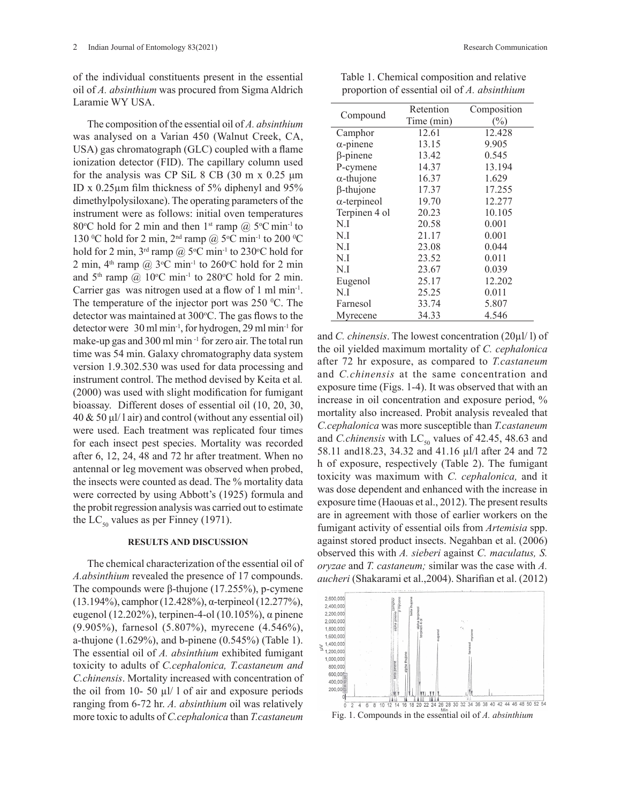of the individual constituents present in the essential oil of *A. absinthium* was procured from Sigma Aldrich Laramie WY USA.

The composition of the essential oil of *A. absinthium*  was analysed on a Varian 450 (Walnut Creek, CA, USA) gas chromatograph (GLC) coupled with a flame ionization detector (FID). The capillary column used for the analysis was CP SiL 8 CB  $(30 \text{ m x } 0.25 \text{ µm})$ ID x 0.25µm film thickness of 5% diphenyl and 95% dimethylpolysiloxane). The operating parameters of the instrument were as follows: initial oven temperatures 80 °C hold for 2 min and then  $1^{st}$  ramp @ 5 °C min<sup>-1</sup> to 130 °C hold for 2 min,  $2<sup>nd</sup>$  ramp @ 5°C min<sup>-1</sup> to 200 °C hold for 2 min,  $3^{rd}$  ramp @  $5^{\circ}$ C min<sup>-1</sup> to 230 $^{\circ}$ C hold for 2 min,  $4<sup>th</sup>$  ramp @ 3<sup>o</sup>C min<sup>-1</sup> to 260<sup>o</sup>C hold for 2 min and  $5<sup>th</sup>$  ramp @ 10°C min<sup>-1</sup> to 280°C hold for 2 min. Carrier gas was nitrogen used at a flow of 1 ml min-1. The temperature of the injector port was  $250 \degree C$ . The detector was maintained at 300°C. The gas flows to the detector were 30 ml min-1, for hydrogen, 29 ml min-1 for make-up gas and 300 ml min<sup>-1</sup> for zero air. The total run time was 54 min. Galaxy chromatography data system version 1.9.302.530 was used for data processing and instrument control. The method devised by Keita et al*.*  (2000) was used with slight modification for fumigant bioassay. Different doses of essential oil (10, 20, 30, 40 & 50 μl/ l air) and control (without any essential oil) were used. Each treatment was replicated four times for each insect pest species. Mortality was recorded after 6, 12, 24, 48 and 72 hr after treatment. When no antennal or leg movement was observed when probed, the insects were counted as dead. The % mortality data were corrected by using Abbott's (1925) formula and the probit regression analysis was carried out to estimate the LC<sub>50</sub> values as per Finney (1971).

#### **RESULTS AND DISCUSSION**

The chemical characterization of the essential oil of *A.absinthium* revealed the presence of 17 compounds. The compounds were β-thujone (17.255%), p-cymene (13.194%), camphor (12.428%), α-terpineol (12.277%), eugenol (12.202%), terpinen-4-ol (10.105%), α pinene (9.905%), farnesol (5.807%), myrecene (4.546%), a-thujone (1.629%), and b-pinene (0.545%) (Table 1). The essential oil of *A. absinthium* exhibited fumigant toxicity to adults of *C.cephalonica, T.castaneum and C.chinensis*. Mortality increased with concentration of the oil from 10- 50  $\mu$ l/ l of air and exposure periods ranging from 6-72 hr. *A. absinthium* oil was relatively more toxic to adults of *C.cephalonica* than *T.castaneum*

| Compound            | Retention  | Composition |
|---------------------|------------|-------------|
|                     | Time (min) | (%)         |
| Camphor             | 12.61      | 12.428      |
| $\alpha$ -pinene    | 13.15      | 9.905       |
| $\beta$ -pinene     | 13.42      | 0.545       |
| P-cymene            | 14.37      | 13.194      |
| $\alpha$ -thujone   | 16.37      | 1.629       |
| $\beta$ -thujone    | 17.37      | 17.255      |
| $\alpha$ -terpineol | 19.70      | 12.277      |
| Terpinen 4 ol       | 20.23      | 10.105      |
| N.I                 | 20.58      | 0.001       |
| N.I                 | 21.17      | 0.001       |
| N.I                 | 23.08      | 0.044       |
| N.I                 | 23.52      | 0.011       |
| N.I                 | 23.67      | 0.039       |
| Eugenol             | 25.17      | 12.202      |
| N.I                 | 25.25      | 0.011       |
| Farnesol            | 33.74      | 5.807       |
| Myrecene            | 34.33      | 4.546       |

and *C. chinensis*. The lowest concentration (20µl/ l) of the oil yielded maximum mortality of *C. cephalonica* after 72 hr exposure, as compared to *T.castaneum* and *C.chinensis* at the same concentration and exposure time (Figs. 1-4). It was observed that with an increase in oil concentration and exposure period, % mortality also increased. Probit analysis revealed that *C.cephalonica* was more susceptible than *T.castaneum*  and *C.chinensis* with  $LC_{50}$  values of 42.45, 48.63 and 58.11 and18.23, 34.32 and 41.16 µl/l after 24 and 72 h of exposure, respectively (Table 2). The fumigant toxicity was maximum with *C. cephalonica,* and it was dose dependent and enhanced with the increase in exposure time (Haouas et al., 2012). The present results are in agreement with those of earlier workers on the fumigant activity of essential oils from *Artemisia* spp. against stored product insects. Negahban et al. (2006) observed this with *A. sieberi* against *C. maculatus, S. oryzae* and *T. castaneum;* similar was the case with *A. aucheri* (Shakarami et al.,2004). Sharifian et al. (2012)



Fig. 1. Compounds in the essential oil of *A. absinthium*

Table 1. Chemical composition and relative proportion of essential oil of *A. absinthium*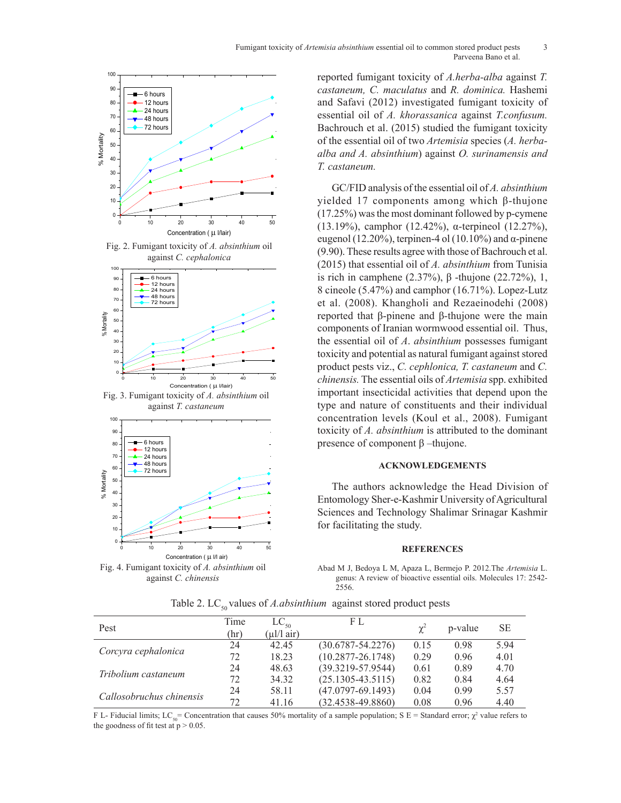

80 12 hours 24 hours against *C. cephalonica*Fig. 2. Fumigant toxicity of *A. absinthium* oil



Fig.1. Fumigant toxicity of *A.absinthium* oil against *C.cephalonica;* Fig.2. Fumigant toxicity against *T. castaneum* Fig. 3. Fumigant toxicity of *A. absinthium* oil



Fig. 3. Fumigant toxicity of *A.absinthium* oil against *C.chinensis* against *C. chinensis* Fig. 4. Fumigant toxicity of *A. absinthium* oil

reported fumigant toxicity of *A.herba-alba* against *T. castaneum, C. maculatus* and *R. dominica.* Hashemi and Safavi (2012) investigated fumigant toxicity of essential oil of *A. khorassanica* against *T.confusum.*  Bachrouch et al. (2015) studied the fumigant toxicity of the essential oil of two Artemisia species (A. herba*alba and A. absinthium*) against *O. surinamensis and* 70 *T. castaneum.* alba and  $A$ .

GC/FID analysis of the essential oil of *A. absinthium* yielded 17 components among which  $β$ -thujone  $(17.25\%)$  was the most dominant followed by p-cymene (13.19%), camphor (12.42%),  $\alpha$ -terpineol (12.27%), eugenol (12.20%), terpinen-4 ol (10.10%) and  $\alpha$ -pinene (9.90). These results agree with those of Bachrouch et al. against *C. cephalonica* (2015) that essential oil of *A. absinthium* from Tunisia is rich in camphene  $(2.37%)$ , β -thujone  $(22.72%)$ , 1, 8 cineole  $(5.47\%)$  and camphor  $(16.71\%)$ . Lopez-Lutz et al. (2008). Khangholi and Rezaeinodehi (2008) reported that β-pinene and β-thujone were the main components of Iranian wormwood essential oil. Thus components of Iranian wormwood essential oil. Thus, the essential oil of *A. absinthium* possesses fumigant toxicity and potential as natural fumigant against stored product pests viz., *C. cephlonica*, *T. castaneum* and *C. chinensis.* The essential oils of *Artemisia* spp. exhibited <sup>Concentration ( $\mu$  *Mair*)<br>Fig. 3. Fumigant toxicity of *A. absinthium* oil apportant insecticidal activities that depend upon the</sup> type and nature of constituents and their individual concentration levels (Koul et al., 2008). Fumigant toxicity of *A. absinthium* is attributed to the dominant presence of component  $β$  –thujone.  $\overline{a}$  $\overline{a}$  $4 \times 10008$ s rich in can

# **ACKNOWLEDGEMENTS**

The authors acknowledge the Head Division of Entomology Sher-e-Kashmir University of Agricultural Sciences and Technology Shalimar Srinagar Kashmir for facilitating the study.

## **REFERENCES**

Abad M J, Bedoya L M, Apaza L, Bermejo P. 2012.The *Artemisia* L. genus: A review of bioactive essential oils. Molecules 17: 2542- 2556.

| Time | $LC_{50}$ | F L                     |      | p-value | <b>SE</b> |
|------|-----------|-------------------------|------|---------|-----------|
| 24   | 42.45     | $(30.6787 - 54.2276)$   | 0.15 | 0.98    | 5.94      |
| 72   | 18.23     | $(10.2877 - 26.1748)$   | 0.29 | 0.96    | 4.01      |
| 24   | 48.63     | $(39.3219 - 57.9544)$   | 0.61 | 0.89    | 4.70      |
| 72   | 34.32     | $(25.1305 - 43.5115)$   | 0.82 | 0.84    | 4.64      |
| 24   | 58.11     | $(47.0797 - 69.1493)$   | 0.04 | 0.99    | 5.57      |
| 72   | 41.16     | $(32.4538 - 49.8860)$   | 0.08 | 0.96    | 4.40      |
|      | (hr)      | $(\mu l/l \text{ air})$ |      |         |           |

Table 2. LC<sub>50</sub> values of *A.absinthium* against stored product pests

F L- Fiducial limits; LC<sub>50</sub>= Concentration that causes 50% mortality of a sample population; S E = Standard error;  $\chi^2$  value refers to the goodness of fit test at  $p > 0.05$ .